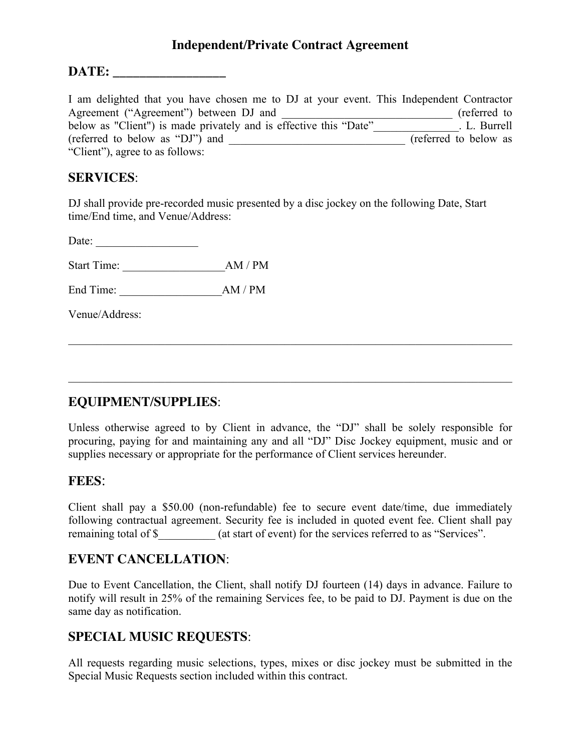### **Independent/Private Contract Agreement**

#### **DATE: \_\_\_\_\_\_\_\_\_\_\_\_\_\_\_\_\_**

I am delighted that you have chosen me to DJ at your event. This Independent Contractor Agreement ("Agreement") between DJ and \_\_\_\_\_\_\_\_\_\_\_\_\_\_\_\_\_\_\_\_\_\_\_\_\_\_\_\_\_\_ (referred to below as "Client") is made privately and is effective this "Date" L. Burrell (referred to below as "DJ") and  $(referred to below as$ "Client"), agree to as follows:

#### **SERVICES**:

DJ shall provide pre-recorded music presented by a disc jockey on the following Date, Start time/End time, and Venue/Address:

Date:  $\qquad \qquad$ 

Start Time: \_\_\_\_\_\_\_\_\_\_\_\_\_\_\_\_\_\_AM / PM

End Time: \_\_\_\_\_\_\_\_\_\_\_\_\_\_\_\_\_\_AM / PM

Venue/Address:

### **EQUIPMENT/SUPPLIES**:

Unless otherwise agreed to by Client in advance, the "DJ" shall be solely responsible for procuring, paying for and maintaining any and all "DJ" Disc Jockey equipment, music and or supplies necessary or appropriate for the performance of Client services hereunder.

 $\mathcal{L}_\mathcal{L} = \{ \mathcal{L}_\mathcal{L} = \{ \mathcal{L}_\mathcal{L} = \{ \mathcal{L}_\mathcal{L} = \{ \mathcal{L}_\mathcal{L} = \{ \mathcal{L}_\mathcal{L} = \{ \mathcal{L}_\mathcal{L} = \{ \mathcal{L}_\mathcal{L} = \{ \mathcal{L}_\mathcal{L} = \{ \mathcal{L}_\mathcal{L} = \{ \mathcal{L}_\mathcal{L} = \{ \mathcal{L}_\mathcal{L} = \{ \mathcal{L}_\mathcal{L} = \{ \mathcal{L}_\mathcal{L} = \{ \mathcal{L}_\mathcal{$ 

 $\mathcal{L}_\mathcal{L} = \{ \mathcal{L}_\mathcal{L} = \{ \mathcal{L}_\mathcal{L} = \{ \mathcal{L}_\mathcal{L} = \{ \mathcal{L}_\mathcal{L} = \{ \mathcal{L}_\mathcal{L} = \{ \mathcal{L}_\mathcal{L} = \{ \mathcal{L}_\mathcal{L} = \{ \mathcal{L}_\mathcal{L} = \{ \mathcal{L}_\mathcal{L} = \{ \mathcal{L}_\mathcal{L} = \{ \mathcal{L}_\mathcal{L} = \{ \mathcal{L}_\mathcal{L} = \{ \mathcal{L}_\mathcal{L} = \{ \mathcal{L}_\mathcal{$ 

#### **FEES**:

Client shall pay a \$50.00 (non-refundable) fee to secure event date/time, due immediately following contractual agreement. Security fee is included in quoted event fee. Client shall pay remaining total of \$  $\qquad \qquad$  (at start of event) for the services referred to as "Services".

### **EVENT CANCELLATION**:

Due to Event Cancellation, the Client, shall notify DJ fourteen (14) days in advance. Failure to notify will result in 25% of the remaining Services fee, to be paid to DJ. Payment is due on the same day as notification.

### **SPECIAL MUSIC REQUESTS**:

All requests regarding music selections, types, mixes or disc jockey must be submitted in the Special Music Requests section included within this contract.